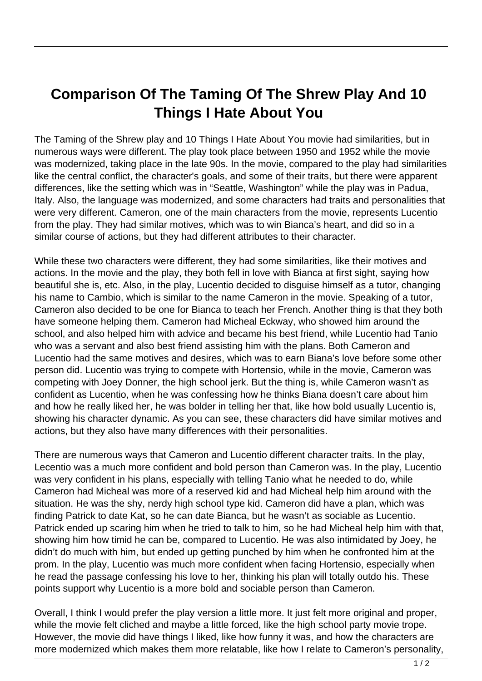## **Comparison Of The Taming Of The Shrew Play And 10 Things I Hate About You**

The Taming of the Shrew play and 10 Things I Hate About You movie had similarities, but in numerous ways were different. The play took place between 1950 and 1952 while the movie was modernized, taking place in the late 90s. In the movie, compared to the play had similarities like the central conflict, the character's goals, and some of their traits, but there were apparent differences, like the setting which was in "Seattle, Washington" while the play was in Padua, Italy. Also, the language was modernized, and some characters had traits and personalities that were very different. Cameron, one of the main characters from the movie, represents Lucentio from the play. They had similar motives, which was to win Bianca's heart, and did so in a similar course of actions, but they had different attributes to their character.

While these two characters were different, they had some similarities, like their motives and actions. In the movie and the play, they both fell in love with Bianca at first sight, saying how beautiful she is, etc. Also, in the play, Lucentio decided to disguise himself as a tutor, changing his name to Cambio, which is similar to the name Cameron in the movie. Speaking of a tutor, Cameron also decided to be one for Bianca to teach her French. Another thing is that they both have someone helping them. Cameron had Micheal Eckway, who showed him around the school, and also helped him with advice and became his best friend, while Lucentio had Tanio who was a servant and also best friend assisting him with the plans. Both Cameron and Lucentio had the same motives and desires, which was to earn Biana's love before some other person did. Lucentio was trying to compete with Hortensio, while in the movie, Cameron was competing with Joey Donner, the high school jerk. But the thing is, while Cameron wasn't as confident as Lucentio, when he was confessing how he thinks Biana doesn't care about him and how he really liked her, he was bolder in telling her that, like how bold usually Lucentio is, showing his character dynamic. As you can see, these characters did have similar motives and actions, but they also have many differences with their personalities.

There are numerous ways that Cameron and Lucentio different character traits. In the play, Lecentio was a much more confident and bold person than Cameron was. In the play, Lucentio was very confident in his plans, especially with telling Tanio what he needed to do, while Cameron had Micheal was more of a reserved kid and had Micheal help him around with the situation. He was the shy, nerdy high school type kid. Cameron did have a plan, which was finding Patrick to date Kat, so he can date Bianca, but he wasn't as sociable as Lucentio. Patrick ended up scaring him when he tried to talk to him, so he had Micheal help him with that, showing him how timid he can be, compared to Lucentio. He was also intimidated by Joey, he didn't do much with him, but ended up getting punched by him when he confronted him at the prom. In the play, Lucentio was much more confident when facing Hortensio, especially when he read the passage confessing his love to her, thinking his plan will totally outdo his. These points support why Lucentio is a more bold and sociable person than Cameron.

Overall, I think I would prefer the play version a little more. It just felt more original and proper, while the movie felt cliched and maybe a little forced, like the high school party movie trope. However, the movie did have things I liked, like how funny it was, and how the characters are more modernized which makes them more relatable, like how I relate to Cameron's personality,